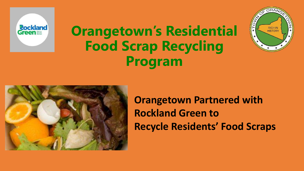

## **Orangetown's Residential Food Scrap Recycling Program**





**Orangetown Partnered with Rockland Green to Recycle Residents' Food Scraps**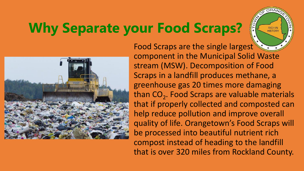# **Why Separate your Food Scraps?**



Food Scraps are the single largest component in the Municipal Solid Waste stream (MSW). Decomposition of Food Scraps in a landfill produces methane, a greenhouse gas 20 times more damaging than  $CO<sub>2</sub>$ . Food Scraps are valuable materials that if properly collected and composted can help reduce pollution and improve overall quality of life. Orangetown's Food Scraps will be processed into beautiful nutrient rich compost instead of heading to the landfill that is over 320 miles from Rockland County.

RICH IN<br>HISTORY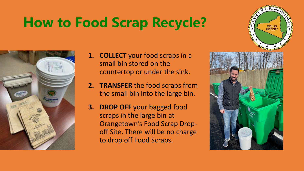# **How to Food Scrap Recycle?**



- **1. COLLECT** your food scraps in a small bin stored on the countertop or under the sink.
- **2. TRANSFER** the food scraps from the small bin into the large bin.
- **3. DROP OFF** your bagged food scraps in the large bin at Orangetown's Food Scrap Dropoff Site. There will be no charge to drop off Food Scraps.



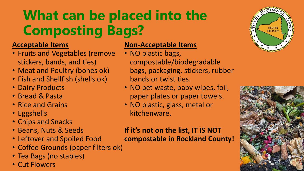# **What can be placed into the Composting Bags?**

### **Acceptable Items**

- Fruits and Vegetables (remove stickers, bands, and ties)
- Meat and Poultry (bones ok)
- Fish and Shellfish (shells ok)
- Dairy Products
- Bread & Pasta
- Rice and Grains
- Eggshells
- Chips and Snacks
- Beans, Nuts & Seeds
- Leftover and Spoiled Food
- Coffee Grounds (paper filters ok)
- Tea Bags (no staples)
- Cut Flowers

#### **Non-Acceptable Items**

- NO plastic bags, compostable/biodegradable bags, packaging, stickers, rubber bands or twist ties.
- NO pet waste, baby wipes, foil, paper plates or paper towels.
- NO plastic, glass, metal or kitchenware.

#### **If it's not on the list, IT IS NOT**

**compostable in Rockland County!**



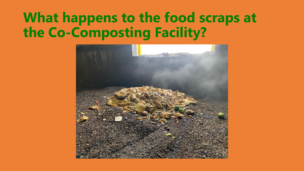## **What happens to the food scraps at the Co-Composting Facility?**